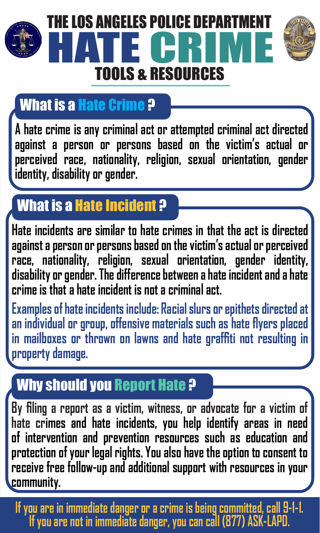

## What is a Hate Crime ?

**A hate crime is any criminal act or attempted criminal act directed against a person or persons based on the victim's actual or perceived race, nationality, religion, sexual orientation, gender identity, disability or gender.**

### What is a Hate Incident ?

**Hate incidents are similar to hate crimes in that the act is directed against a person or persons based on the victim's actual or perceived race, nationality, religion, sexual orientation, gender identity, disability or gender. The difference between a hate incident and a hate crime is that a hate incident is not a criminal act.**

**Examples of hate incidents include: Racial slurs or epithets directed at an individual or group, offensive materials such as hate flyers placed in mailboxes or thrown on lawns and hate graffiti not resulting in property damage.**

### Why should you Report Hate ?

**By filing a report as a victim, witness, or advocate for a victim of hate crimes and hate incidents, you help identify areas in need of intervention and prevention resources such as education and protection of your legal rights. You also have the option to consent to receive free follow-up and additional support with resources in your community.**

**If you are in immediate danger or a crime is being committed, call 9-1-1. If you are not in immediate danger, you can call (877) ASK-LAPD.**